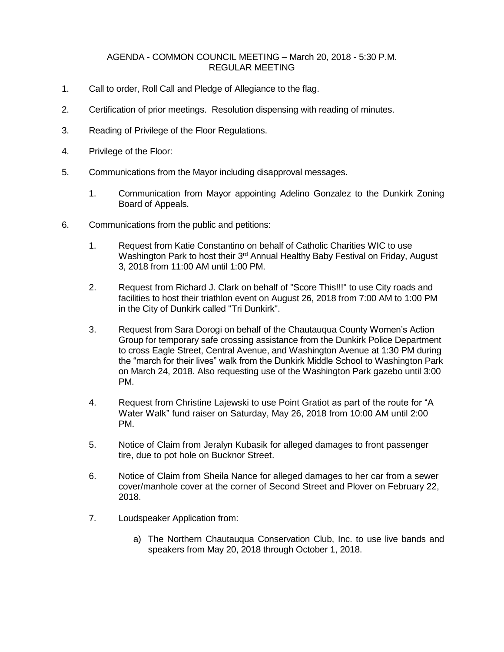## AGENDA - COMMON COUNCIL MEETING – March 20, 2018 - 5:30 P.M. REGULAR MEETING

- 1. Call to order, Roll Call and Pledge of Allegiance to the flag.
- 2. Certification of prior meetings. Resolution dispensing with reading of minutes.
- 3. Reading of Privilege of the Floor Regulations.
- 4. Privilege of the Floor:
- 5. Communications from the Mayor including disapproval messages.
	- 1. Communication from Mayor appointing Adelino Gonzalez to the Dunkirk Zoning Board of Appeals.
- 6. Communications from the public and petitions:
	- 1. Request from Katie Constantino on behalf of Catholic Charities WIC to use Washington Park to host their 3<sup>rd</sup> Annual Healthy Baby Festival on Friday, August 3, 2018 from 11:00 AM until 1:00 PM.
	- 2. Request from Richard J. Clark on behalf of "Score This!!!" to use City roads and facilities to host their triathlon event on August 26, 2018 from 7:00 AM to 1:00 PM in the City of Dunkirk called "Tri Dunkirk".
	- 3. Request from Sara Dorogi on behalf of the Chautauqua County Women's Action Group for temporary safe crossing assistance from the Dunkirk Police Department to cross Eagle Street, Central Avenue, and Washington Avenue at 1:30 PM during the "march for their lives" walk from the Dunkirk Middle School to Washington Park on March 24, 2018. Also requesting use of the Washington Park gazebo until 3:00 PM.
	- 4. Request from Christine Lajewski to use Point Gratiot as part of the route for "A Water Walk" fund raiser on Saturday, May 26, 2018 from 10:00 AM until 2:00 PM.
	- 5. Notice of Claim from Jeralyn Kubasik for alleged damages to front passenger tire, due to pot hole on Bucknor Street.
	- 6. Notice of Claim from Sheila Nance for alleged damages to her car from a sewer cover/manhole cover at the corner of Second Street and Plover on February 22, 2018.
	- 7. Loudspeaker Application from:
		- a) The Northern Chautauqua Conservation Club, Inc. to use live bands and speakers from May 20, 2018 through October 1, 2018.